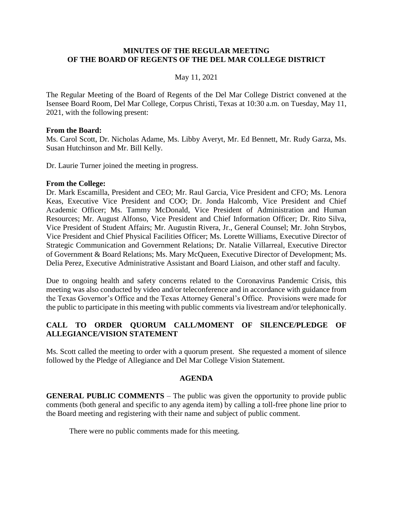#### **MINUTES OF THE REGULAR MEETING OF THE BOARD OF REGENTS OF THE DEL MAR COLLEGE DISTRICT**

#### May 11, 2021

 The Regular Meeting of the Board of Regents of the Del Mar College District convened at the Isensee Board Room, Del Mar College, Corpus Christi, Texas at 10:30 a.m. on Tuesday, May 11, 2021, with the following present:

#### **From the Board:**

 Ms. Carol Scott, Dr. Nicholas Adame, Ms. Libby Averyt, Mr. Ed Bennett, Mr. Rudy Garza, Ms. Susan Hutchinson and Mr. Bill Kelly.

Dr. Laurie Turner joined the meeting in progress.

#### **From the College:**

 Dr. Mark Escamilla, President and CEO; Mr. Raul Garcia, Vice President and CFO; Ms. Lenora Keas, Executive Vice President and COO; Dr. Jonda Halcomb, Vice President and Chief Academic Officer; Ms. Tammy McDonald, Vice President of Administration and Human of Government & Board Relations; Ms. Mary McQueen, Executive Director of Development; Ms. Resources; Mr. August Alfonso, Vice President and Chief Information Officer; Dr. Rito Silva, Vice President of Student Affairs; Mr. Augustin Rivera, Jr., General Counsel; Mr. John Strybos, Vice President and Chief Physical Facilities Officer; Ms. Lorette Williams, Executive Director of Strategic Communication and Government Relations; Dr. Natalie Villarreal, Executive Director Delia Perez, Executive Administrative Assistant and Board Liaison, and other staff and faculty.

 Due to ongoing health and safety concerns related to the Coronavirus Pandemic Crisis, this the public to participate in this meeting with public comments via livestream and/or telephonically. meeting was also conducted by video and/or teleconference and in accordance with guidance from the Texas Governor's Office and the Texas Attorney General's Office. Provisions were made for

## **CALL TO ORDER QUORUM CALL/MOMENT OF SILENCE/PLEDGE OF ALLEGIANCE/VISION STATEMENT**

 Ms. Scott called the meeting to order with a quorum present. She requested a moment of silence followed by the Pledge of Allegiance and Del Mar College Vision Statement.

#### **AGENDA**

**GENERAL PUBLIC COMMENTS** – The public was given the opportunity to provide public comments (both general and specific to any agenda item) by calling a toll-free phone line prior to the Board meeting and registering with their name and subject of public comment.

There were no public comments made for this meeting.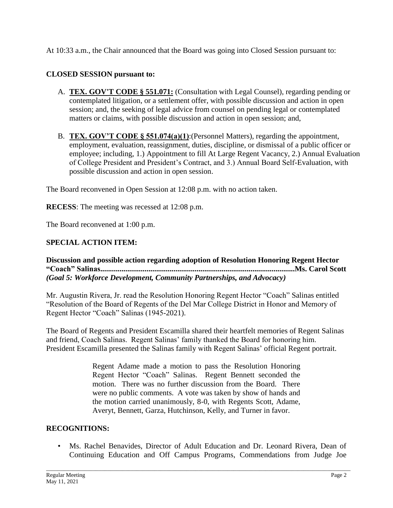At 10:33 a.m., the Chair announced that the Board was going into Closed Session pursuant to:

# **CLOSED SESSION pursuant to:**

- A. **TEX. GOV'T CODE § 551.071:** (Consultation with Legal Counsel), regarding pending or contemplated litigation, or a settlement offer, with possible discussion and action in open session; and, the seeking of legal advice from counsel on pending legal or contemplated matters or claims, with possible discussion and action in open session; and,
- B. **TEX. GOV'T CODE § 551.074(a)(1)**:(Personnel Matters), regarding the appointment, employment, evaluation, reassignment, duties, discipline, or dismissal of a public officer or employee; including, 1.) Appointment to fill At Large Regent Vacancy, 2.) Annual Evaluation of College President and President's Contract, and 3.) Annual Board Self-Evaluation, with possible discussion and action in open session.

The Board reconvened in Open Session at 12:08 p.m. with no action taken.

**RECESS**: The meeting was recessed at 12:08 p.m.

The Board reconvened at 1:00 p.m.

# **SPECIAL ACTION ITEM:**

**Discussion and possible action regarding adoption of Resolution Honoring Regent Hector "Coach" [Salinas.....................................................................................................Ms](https://Salinas.....................................................................................................Ms). Carol Scott**  *(Goal 5: Workforce Development, Community Partnerships, and Advocacy)* 

Mr. Augustin Rivera, Jr. read the Resolution Honoring Regent Hector "Coach" Salinas entitled "Resolution of the Board of Regents of the Del Mar College District in Honor and Memory of Regent Hector "Coach" Salinas (1945-2021).

The Board of Regents and President Escamilla shared their heartfelt memories of Regent Salinas and friend, Coach Salinas. Regent Salinas' family thanked the Board for honoring him. President Escamilla presented the Salinas family with Regent Salinas' official Regent portrait.

> Regent Adame made a motion to pass the Resolution Honoring motion. There was no further discussion from the Board. There Regent Hector "Coach" Salinas. Regent Bennett seconded the were no public comments. A vote was taken by show of hands and the motion carried unanimously, 8-0, with Regents Scott, Adame, Averyt, Bennett, Garza, Hutchinson, Kelly, and Turner in favor.

## **RECOGNITIONS:**

 • Ms. Rachel Benavides, Director of Adult Education and Dr. Leonard Rivera, Dean of Continuing Education and Off Campus Programs, Commendations from Judge Joe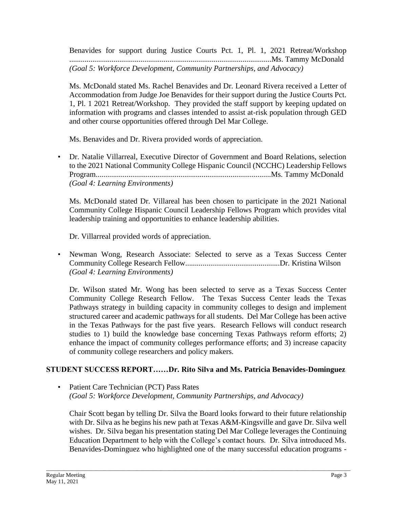Benavides for support during Justice Courts Pct. 1, Pl. 1, 2021 Retreat/Workshop .........................................................................................................Ms. Tammy McDonald *(Goal 5: Workforce Development, Community Partnerships, and Advocacy)* 

 Accommodation from Judge Joe Benavides for their support during the Justice Courts Pct. 1, Pl. 1 2021 Retreat/Workshop. They provided the staff support by keeping updated on Ms. McDonald stated Ms. Rachel Benavides and Dr. Leonard Rivera received a Letter of information with programs and classes intended to assist at-risk population through GED and other course opportunities offered through Del Mar College.

Ms. Benavides and Dr. Rivera provided words of appreciation.

 to the 2021 National Community College Hispanic Council (NCCHC) Leadership Fellows • Dr. Natalie Villarreal, Executive Director of Government and Board Relations, selection [Program...........................................................................................Ms.](https://Program...........................................................................................Ms) Tammy McDonald *(Goal 4: Learning Environments)* 

 Community College Hispanic Council Leadership Fellows Program which provides vital Ms. McDonald stated Dr. Villareal has been chosen to participate in the 2021 National leadership training and opportunities to enhance leadership abilities.

Dr. Villarreal provided words of appreciation.

 • Newman Wong, Research Associate: Selected to serve as a Texas Success Center Community College Research [Fellow.................................................Dr.](https://Fellow.................................................Dr) Kristina Wilson *(Goal 4: Learning Environments)* 

 Dr. Wilson stated Mr. Wong has been selected to serve as a Texas Success Center Community College Research Fellow. The Texas Success Center leads the Texas Pathways strategy in building capacity in community colleges to design and implement structured career and academic pathways for all students. Del Mar College has been active in the Texas Pathways for the past five years. Research Fellows will conduct research studies to 1) build the knowledge base concerning Texas Pathways reform efforts; 2) enhance the impact of community colleges performance efforts; and 3) increase capacity of community college researchers and policy makers.

# **STUDENT SUCCESS REPORT……Dr. Rito Silva and Ms. Patricia Benavides-Dominguez**

• Patient Care Technician (PCT) Pass Rates *(Goal 5: Workforce Development, Community Partnerships, and Advocacy)* 

 Chair Scott began by telling Dr. Silva the Board looks forward to their future relationship Education Department to help with the College's contact hours. Dr. Silva introduced Ms. Benavides-Dominguez who highlighted one of the many successful education programs with Dr. Silva as he begins his new path at Texas A&M-Kingsville and gave Dr. Silva well wishes. Dr. Silva began his presentation stating Del Mar College leverages the Continuing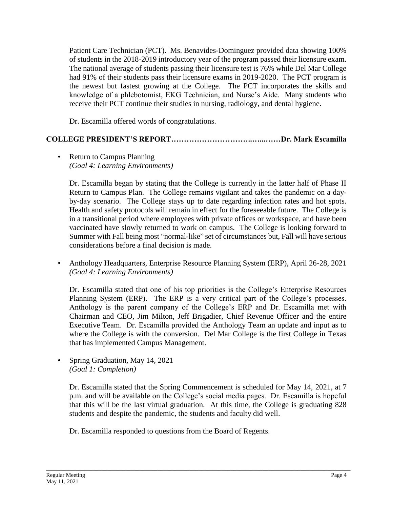of students in the 2018-2019 introductory year of the program passed their licensure exam. The national average of students passing their licensure test is 76% while Del Mar College had 91% of their students pass their licensure exams in 2019-2020. The PCT program is the newest but fastest growing at the College. The PCT incorporates the skills and knowledge of a phlebotomist, EKG Technician, and Nurse's Aide. Many students who Patient Care Technician (PCT). Ms. Benavides-Dominguez provided data showing 100% receive their PCT continue their studies in nursing, radiology, and dental hygiene.

Dr. Escamilla offered words of congratulations.

# **COLLEGE PRESIDENT'S REPORT…………………………..…...……Dr. Mark Escamilla**

• Return to Campus Planning *(Goal 4: Learning Environments)* 

 Dr. Escamilla began by stating that the College is currently in the latter half of Phase II Return to Campus Plan. The College remains vigilant and takes the pandemic on a day- by-day scenario. The College stays up to date regarding infection rates and hot spots. Health and safety protocols will remain in effect for the foreseeable future. The College is in a transitional period where employees with private offices or workspace, and have been vaccinated have slowly returned to work on campus. The College is looking forward to Summer with Fall being most "normal-like" set of circumstances but, Fall will have serious considerations before a final decision is made.

 • Anthology Headquarters, Enterprise Resource Planning System (ERP), April 26-28, 2021 *(Goal 4: Learning Environments)* 

 Planning System (ERP). The ERP is a very critical part of the College's processes. Anthology is the parent company of the College's ERP and Dr. Escamilla met with Chairman and CEO, Jim Milton, Jeff Brigadier, Chief Revenue Officer and the entire Executive Team. Dr. Escamilla provided the Anthology Team an update and input as to where the College is with the conversion. Del Mar College is the first College in Texas Dr. Escamilla stated that one of his top priorities is the College's Enterprise Resources that has implemented Campus Management.

• Spring Graduation, May 14, 2021 *(Goal 1: Completion)* 

 Dr. Escamilla stated that the Spring Commencement is scheduled for May 14, 2021, at 7 p.m. and will be available on the College's social media pages. Dr. Escamilla is hopeful that this will be the last virtual graduation. At this time, the College is graduating 828 students and despite the pandemic, the students and faculty did well.

\_\_\_\_\_\_\_\_\_\_\_\_\_\_\_\_\_\_\_\_\_\_\_\_\_\_\_\_\_\_\_\_\_\_\_\_\_\_\_\_\_\_\_\_\_\_\_\_\_\_\_\_\_\_\_\_\_\_\_\_\_\_\_\_\_\_\_\_\_\_\_\_\_\_\_\_\_\_\_\_\_\_\_\_\_\_\_\_\_\_\_\_\_\_\_\_\_\_\_\_\_\_\_\_

Dr. Escamilla responded to questions from the Board of Regents.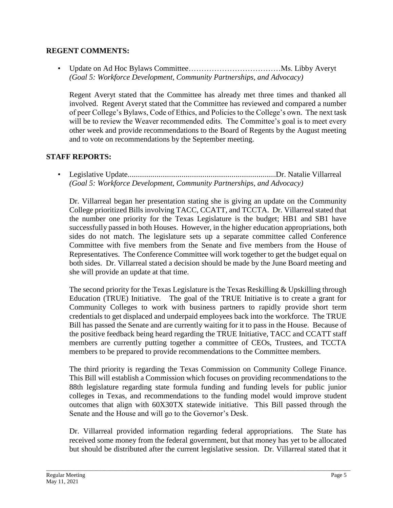## **REGENT COMMENTS:**

• Update on Ad Hoc Bylaws Committee………………………………Ms. Libby Averyt *(Goal 5: Workforce Development, Community Partnerships, and Advocacy)* 

 Regent Averyt stated that the Committee has already met three times and thanked all of peer College's Bylaws, Code of Ethics, and Policies to the College's own. The next task involved. Regent Averyt stated that the Committee has reviewed and compared a number will be to review the Weaver recommended edits. The Committee's goal is to meet every other week and provide recommendations to the Board of Regents by the August meeting and to vote on recommendations by the September meeting.

# **STAFF REPORTS:**

• Legislative [Update.............................................................................Dr.](https://Update.............................................................................Dr) Natalie Villarreal *(Goal 5: Workforce Development, Community Partnerships, and Advocacy)* 

 Dr. Villarreal began her presentation stating she is giving an update on the Community the number one priority for the Texas Legislature is the budget; HB1 and SB1 have sides do not match. The legislature sets up a separate committee called Conference Committee with five members from the Senate and five members from the House of Representatives. The Conference Committee will work together to get the budget equal on both sides. Dr. Villarreal stated a decision should be made by the June Board meeting and College prioritized Bills involving TACC, CCATT, and TCCTA. Dr. Villarreal stated that successfully passed in both Houses. However, in the higher education appropriations, both she will provide an update at that time.

 The second priority for the Texas Legislature is the Texas Reskilling & Upskilling through Education (TRUE) Initiative. The goal of the TRUE Initiative is to create a grant for Community Colleges to work with business partners to rapidly provide short term credentials to get displaced and underpaid employees back into the workforce. The TRUE Bill has passed the Senate and are currently waiting for it to pass in the House. Because of members are currently putting together a committee of CEOs, Trustees, and TCCTA the positive feedback being heard regarding the TRUE Initiative, TACC and CCATT staff members to be prepared to provide recommendations to the Committee members.

 The third priority is regarding the Texas Commission on Community College Finance. This Bill will establish a Commission which focuses on providing recommendations to the 88th legislature regarding state formula funding and funding levels for public junior colleges in Texas, and recommendations to the funding model would improve student outcomes that align with 60X30TX statewide initiative. This Bill passed through the Senate and the House and will go to the Governor's Desk.

 Dr. Villarreal provided information regarding federal appropriations. The State has but should be distributed after the current legislative session. Dr. Villarreal stated that it received some money from the federal government, but that money has yet to be allocated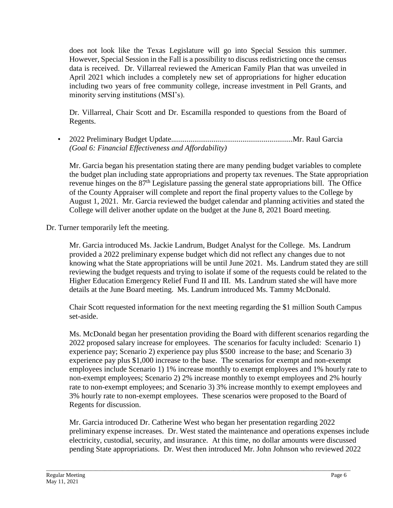does not look like the Texas Legislature will go into Special Session this summer. However, Special Session in the Fall is a possibility to discuss redistricting once the census data is received. Dr. Villarreal reviewed the American Family Plan that was unveiled in April 2021 which includes a completely new set of appropriations for higher education including two years of free community college, increase investment in Pell Grants, and minority serving institutions (MSI's).

Dr. Villarreal, Chair Scott and Dr. Escamilla responded to questions from the Board of Regents.

• 2022 Preliminary Budget [Update...............................................................Mr.](https://Update...............................................................Mr) Raul Garcia *(Goal 6: Financial Effectiveness and Affordability)* 

Mr. Garcia began his presentation stating there are many pending budget variables to complete the budget plan including state appropriations and property tax revenues. The State appropriation revenue hinges on the 87th Legislature passing the general state appropriations bill. The Office of the County Appraiser will complete and report the final property values to the College by August 1, 2021. Mr. Garcia reviewed the budget calendar and planning activities and stated the College will deliver another update on the budget at the June 8, 2021 Board meeting.

Dr. Turner temporarily left the meeting.

 knowing what the State appropriations will be until June 2021. Ms. Landrum stated they are still details at the June Board meeting. Ms. Landrum introduced Ms. Tammy McDonald. Mr. Garcia introduced Ms. Jackie Landrum, Budget Analyst for the College. Ms. Landrum provided a 2022 preliminary expense budget which did not reflect any changes due to not reviewing the budget requests and trying to isolate if some of the requests could be related to the Higher Education Emergency Relief Fund II and III. Ms. Landrum stated she will have more

Chair Scott requested information for the next meeting regarding the \$1 million South Campus set-aside.

 2022 proposed salary increase for employees. The scenarios for faculty included: Scenario 1) Ms. McDonald began her presentation providing the Board with different scenarios regarding the experience pay; Scenario 2) experience pay plus \$500 increase to the base; and Scenario 3) experience pay plus \$1,000 increase to the base. The scenarios for exempt and non-exempt employees include Scenario 1) 1% increase monthly to exempt employees and 1% hourly rate to non-exempt employees; Scenario 2) 2% increase monthly to exempt employees and 2% hourly rate to non-exempt employees; and Scenario 3) 3% increase monthly to exempt employees and 3% hourly rate to non-exempt employees. These scenarios were proposed to the Board of Regents for discussion.

Mr. Garcia introduced Dr. Catherine West who began her presentation regarding 2022 preliminary expense increases. Dr. West stated the maintenance and operations expenses include electricity, custodial, security, and insurance. At this time, no dollar amounts were discussed pending State appropriations. Dr. West then introduced Mr. John Johnson who reviewed 2022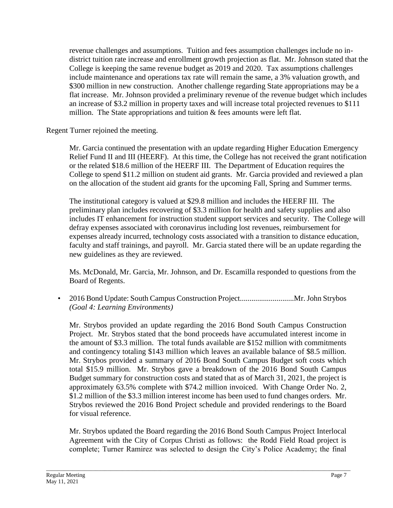revenue challenges and assumptions. Tuition and fees assumption challenges include no indistrict tuition rate increase and enrollment growth projection as flat. Mr. Johnson stated that the College is keeping the same revenue budget as 2019 and 2020. Tax assumptions challenges include maintenance and operations tax rate will remain the same, a 3% valuation growth, and \$300 million in new construction. Another challenge regarding State appropriations may be a flat increase. Mr. Johnson provided a preliminary revenue of the revenue budget which includes an increase of \$3.2 million in property taxes and will increase total projected revenues to \$111 million. The State appropriations and tuition  $\&$  fees amounts were left flat.

Regent Turner rejoined the meeting.

 Relief Fund II and III (HEERF). At this time, the College has not received the grant notification on the allocation of the student aid grants for the upcoming Fall, Spring and Summer terms. Mr. Garcia continued the presentation with an update regarding Higher Education Emergency or the related \$18.6 million of the HEERF III. The Department of Education requires the College to spend \$11.2 million on student aid grants. Mr. Garcia provided and reviewed a plan

 The institutional category is valued at \$29.8 million and includes the HEERF III. The includes IT enhancement for instruction student support services and security. The College will faculty and staff trainings, and payroll. Mr. Garcia stated there will be an update regarding the preliminary plan includes recovering of \$3.3 million for health and safety supplies and also defray expenses associated with coronavirus including lost revenues, reimbursement for expenses already incurred, technology costs associated with a transition to distance education, new guidelines as they are reviewed.

Ms. McDonald, Mr. Garcia, Mr. Johnson, and Dr. Escamilla responded to questions from the Board of Regents.

• 2016 Bond Update: South Campus Construction [Project............................Mr.](https://Project............................Mr) John Strybos *(Goal 4: Learning Environments)* 

 Mr. Strybos provided an update regarding the 2016 Bond South Campus Construction Project. Mr. Strybos stated that the bond proceeds have accumulated interest income in and contingency totaling \$143 million which leaves an available balance of \$8.5 million. and contingency totaling \$143 million which leaves an available balance of \$8.5 million. Mr. Strybos provided a summary of 2016 Bond South Campus Budget soft costs which total \$15.9 million. Mr. Strybos gave a breakdown of the 2016 Bond South Campus Budget summary for construction costs and stated that as of March 31, 2021, the project is approximately 63.5% complete with \$74.2 million invoiced. With Change Order No. 2, Strybos reviewed the 2016 Bond Project schedule and provided renderings to the Board the amount of \$3.3 million. The total funds available are \$152 million with commitments \$1.2 million of the \$3.3 million interest income has been used to fund changes orders. Mr. for visual reference.

 Mr. Strybos updated the Board regarding the 2016 Bond South Campus Project Interlocal Agreement with the City of Corpus Christi as follows: the Rodd Field Road project is complete; Turner Ramirez was selected to design the City's Police Academy; the final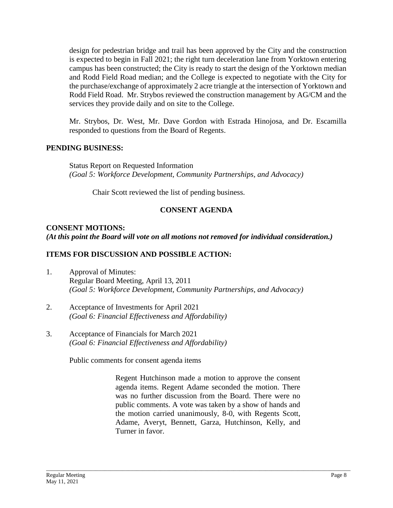design for pedestrian bridge and trail has been approved by the City and the construction campus has been constructed; the City is ready to start the design of the Yorktown median and Rodd Field Road median; and the College is expected to negotiate with the City for the purchase/exchange of approximately 2 acre triangle at the intersection of Yorktown and Rodd Field Road. Mr. Strybos reviewed the construction management by AG/CM and the is expected to begin in Fall 2021; the right turn deceleration lane from Yorktown entering services they provide daily and on site to the College.

Mr. Strybos, Dr. West, Mr. Dave Gordon with Estrada Hinojosa, and Dr. Escamilla responded to questions from the Board of Regents.

## **PENDING BUSINESS:**

Status Report on Requested Information *(Goal 5: Workforce Development, Community Partnerships, and Advocacy)* 

Chair Scott reviewed the list of pending business.

# **CONSENT AGENDA**

## **CONSENT MOTIONS:**  *(At this point the Board will vote on all motions not removed for individual consideration.)*

## **ITEMS FOR DISCUSSION AND POSSIBLE ACTION:**

- 1. Approval of Minutes: Regular Board Meeting, April 13, 2011 *(Goal 5: Workforce Development, Community Partnerships, and Advocacy)*
- 2. Acceptance of Investments for April 2021 *(Goal 6: Financial Effectiveness and Affordability)*
- 3. Acceptance of Financials for March 2021 *(Goal 6: Financial Effectiveness and Affordability)*

Public comments for consent agenda items

 Regent Hutchinson made a motion to approve the consent was no further discussion from the Board. There were no public comments. A vote was taken by a show of hands and agenda items. Regent Adame seconded the motion. There the motion carried unanimously, 8-0, with Regents Scott, Adame, Averyt, Bennett, Garza, Hutchinson, Kelly, and Turner in favor.

\_\_\_\_\_\_\_\_\_\_\_\_\_\_\_\_\_\_\_\_\_\_\_\_\_\_\_\_\_\_\_\_\_\_\_\_\_\_\_\_\_\_\_\_\_\_\_\_\_\_\_\_\_\_\_\_\_\_\_\_\_\_\_\_\_\_\_\_\_\_\_\_\_\_\_\_\_\_\_\_\_\_\_\_\_\_\_\_\_\_\_\_\_\_\_\_\_\_\_\_\_\_\_\_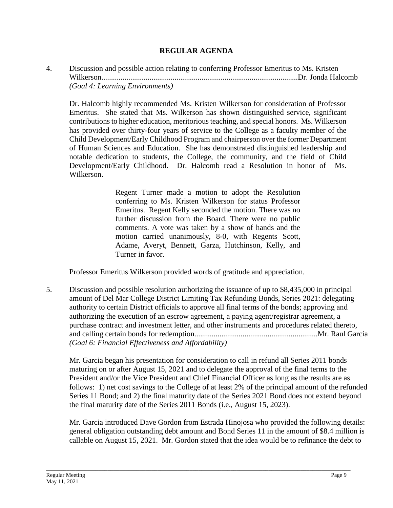## **REGULAR AGENDA**

4. Discussion and possible action relating to conferring Professor Emeritus to Ms. Kristen [Wilkerson......................................................................................................Dr.](https://Wilkerson......................................................................................................Dr) Jonda Halcomb *(Goal 4: Learning Environments)* 

 has provided over thirty-four years of service to the College as a faculty member of the of Human Sciences and Education. She has demonstrated distinguished leadership and Dr. Halcomb highly recommended Ms. Kristen Wilkerson for consideration of Professor Emeritus. She stated that Ms. Wilkerson has shown distinguished service, significant contributions to higher education, meritorious teaching, and special honors. Ms. Wilkerson Child Development/Early Childhood Program and chairperson over the former Department notable dedication to students, the College, the community, and the field of Child Development/Early Childhood. Dr. Halcomb read a Resolution in honor of Ms. Wilkerson.

> Regent Turner made a motion to adopt the Resolution Emeritus. Regent Kelly seconded the motion. There was no further discussion from the Board. There were no public comments. A vote was taken by a show of hands and the conferring to Ms. Kristen Wilkerson for status Professor motion carried unanimously, 8-0, with Regents Scott, Adame, Averyt, Bennett, Garza, Hutchinson, Kelly, and Turner in favor.

Professor Emeritus Wilkerson provided words of gratitude and appreciation.

5. Discussion and possible resolution authorizing the issuance of up to \$8,435,000 in principal amount of Del Mar College District Limiting Tax Refunding Bonds, Series 2021: delegating authority to certain District officials to approve all final terms of the bonds; approving and authorizing the execution of an escrow agreement, a paying agent/registrar agreement, a purchase contract and investment letter, and other instruments and procedures related thereto, and calling certain bonds for [redemption................................................................Mr.](https://redemption................................................................Mr) Raul Garcia *(Goal 6: Financial Effectiveness and Affordability)* 

Mr. Garcia began his presentation for consideration to call in refund all Series 2011 bonds maturing on or after August 15, 2021 and to delegate the approval of the final terms to the President and/or the Vice President and Chief Financial Officer as long as the results are as follows: 1) net cost savings to the College of at least 2% of the principal amount of the refunded Series 11 Bond; and 2) the final maturity date of the Series 2021 Bond does not extend beyond the final maturity date of the Series 2011 Bonds (i.e., August 15, 2023).

 Mr. Garcia introduced Dave Gordon from Estrada Hinojosa who provided the following details: general obligation outstanding debt amount and Bond Series 11 in the amount of \$8.4 million is callable on August 15, 2021. Mr. Gordon stated that the idea would be to refinance the debt to

\_\_\_\_\_\_\_\_\_\_\_\_\_\_\_\_\_\_\_\_\_\_\_\_\_\_\_\_\_\_\_\_\_\_\_\_\_\_\_\_\_\_\_\_\_\_\_\_\_\_\_\_\_\_\_\_\_\_\_\_\_\_\_\_\_\_\_\_\_\_\_\_\_\_\_\_\_\_\_\_\_\_\_\_\_\_\_\_\_\_\_\_\_\_\_\_\_\_\_\_\_\_\_\_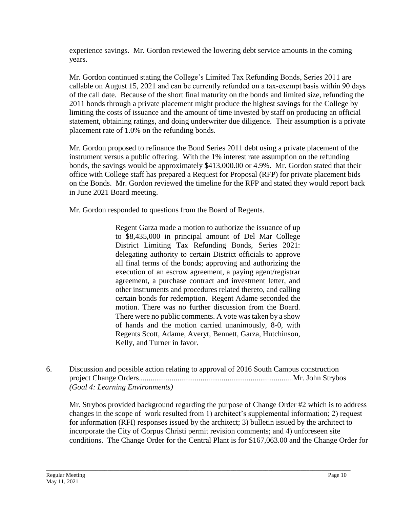experience savings. Mr. Gordon reviewed the lowering debt service amounts in the coming years.

 of the call date. Because of the short final maturity on the bonds and limited size, refunding the statement, obtaining ratings, and doing underwriter due diligence. Their assumption is a private Mr. Gordon continued stating the College's Limited Tax Refunding Bonds, Series 2011 are callable on August 15, 2021 and can be currently refunded on a tax‐exempt basis within 90 days 2011 bonds through a private placement might produce the highest savings for the College by limiting the costs of issuance and the amount of time invested by staff on producing an official placement rate of 1.0% on the refunding bonds.

Mr. Gordon proposed to refinance the Bond Series 2011 debt using a private placement of the instrument versus a public offering. With the 1% interest rate assumption on the refunding bonds, the savings would be approximately \$[413,000.00](https://413,000.00) or 4.9%. Mr. Gordon stated that their office with College staff has prepared a Request for Proposal (RFP) for private placement bids on the Bonds. Mr. Gordon reviewed the timeline for the RFP and stated they would report back in June 2021 Board meeting.

Mr. Gordon responded to questions from the Board of Regents.

 Regent Garza made a motion to authorize the issuance of up District Limiting Tax Refunding Bonds, Series 2021: delegating authority to certain District officials to approve all final terms of the bonds; approving and authorizing the execution of an escrow agreement, a paying agent/registrar agreement, a purchase contract and investment letter, and certain bonds for redemption. Regent Adame seconded the There were no public comments. A vote was taken by a show to \$8,435,000 in principal amount of Del Mar College other instruments and procedures related thereto, and calling motion. There was no further discussion from the Board. of hands and the motion carried unanimously, 8-0, with Regents Scott, Adame, Averyt, Bennett, Garza, Hutchinson, Kelly, and Turner in favor.

6. Discussion and possible action relating to approval of 2016 South Campus construction project Change [Orders................................................................................Mr](https://Orders................................................................................Mr). John Strybos *(Goal 4: Learning Environments)* 

\_\_\_\_\_\_\_\_\_\_\_\_\_\_\_\_\_\_\_\_\_\_\_\_\_\_\_\_\_\_\_\_\_\_\_\_\_\_\_\_\_\_\_\_\_\_\_\_\_\_\_\_\_\_\_\_\_\_\_\_\_\_\_\_\_\_\_\_\_\_\_\_\_\_\_\_\_\_\_\_\_\_\_\_\_\_\_\_\_\_\_\_\_\_\_\_\_\_\_\_\_\_\_\_

Mr. Strybos provided background regarding the purpose of Change Order #2 which is to address changes in the scope of work resulted from 1) architect's supplemental information; 2) request for information (RFI) responses issued by the architect; 3) bulletin issued by the architect to incorporate the City of Corpus Christi permit revision comments; and 4) unforeseen site conditions. The Change Order for the Central Plant is for \$[167,063.00](https://167,063.00) and the Change Order for